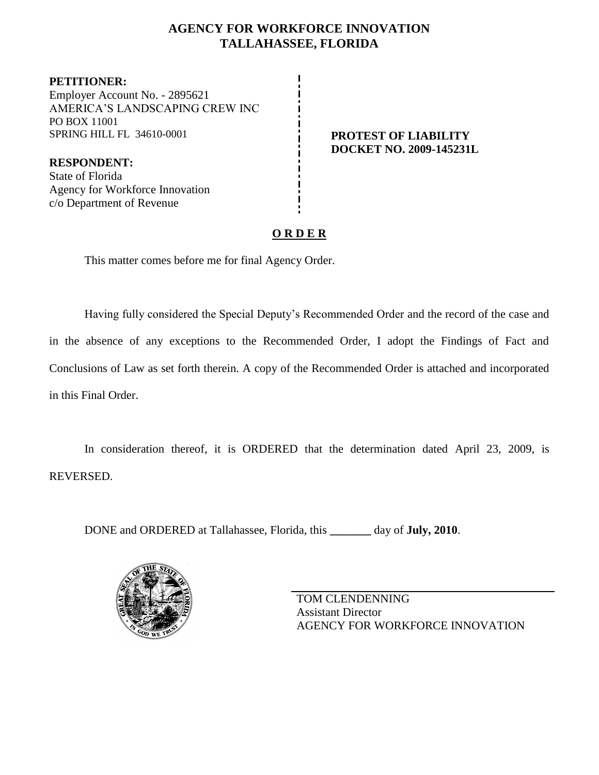### **AGENCY FOR WORKFORCE INNOVATION TALLAHASSEE, FLORIDA**

**PETITIONER:** Employer Account No. - 2895621 AMERICA'S LANDSCAPING CREW INC PO BOX 11001 SPRING HILL FL 34610-0001 **PROTEST OF LIABILITY** 

**DOCKET NO. 2009-145231L**

**RESPONDENT:** State of Florida Agency for Workforce Innovation c/o Department of Revenue

## **O R D E R**

This matter comes before me for final Agency Order.

Having fully considered the Special Deputy's Recommended Order and the record of the case and in the absence of any exceptions to the Recommended Order, I adopt the Findings of Fact and Conclusions of Law as set forth therein. A copy of the Recommended Order is attached and incorporated in this Final Order.

In consideration thereof, it is ORDERED that the determination dated April 23, 2009, is REVERSED.

DONE and ORDERED at Tallahassee, Florida, this **\_\_\_\_\_\_\_** day of **July, 2010**.



TOM CLENDENNING Assistant Director AGENCY FOR WORKFORCE INNOVATION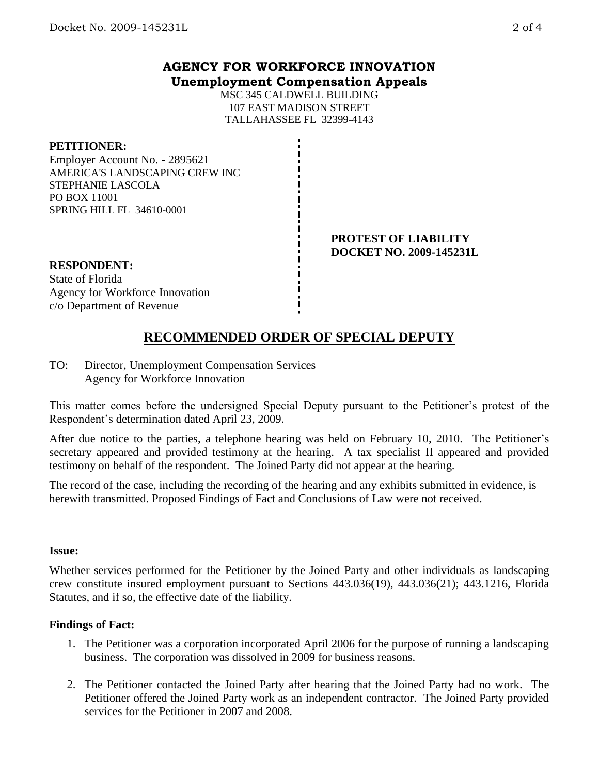### **AGENCY FOR WORKFORCE INNOVATION Unemployment Compensation Appeals**

MSC 345 CALDWELL BUILDING 107 EAST MADISON STREET TALLAHASSEE FL 32399-4143

### **PETITIONER:**

Employer Account No. - 2895621 AMERICA'S LANDSCAPING CREW INC STEPHANIE LASCOLA PO BOX 11001 SPRING HILL FL 34610-0001

#### **PROTEST OF LIABILITY DOCKET NO. 2009-145231L**

## **RESPONDENT:** State of Florida Agency for Workforce Innovation

# c/o Department of Revenue

## **RECOMMENDED ORDER OF SPECIAL DEPUTY**

TO: Director, Unemployment Compensation Services Agency for Workforce Innovation

This matter comes before the undersigned Special Deputy pursuant to the Petitioner's protest of the Respondent's determination dated April 23, 2009.

After due notice to the parties, a telephone hearing was held on February 10, 2010. The Petitioner's secretary appeared and provided testimony at the hearing. A tax specialist II appeared and provided testimony on behalf of the respondent. The Joined Party did not appear at the hearing.

The record of the case, including the recording of the hearing and any exhibits submitted in evidence, is herewith transmitted. Proposed Findings of Fact and Conclusions of Law were not received.

### **Issue:**

Whether services performed for the Petitioner by the Joined Party and other individuals as landscaping crew constitute insured employment pursuant to Sections 443.036(19), 443.036(21); 443.1216, Florida Statutes, and if so, the effective date of the liability.

### **Findings of Fact:**

- 1. The Petitioner was a corporation incorporated April 2006 for the purpose of running a landscaping business. The corporation was dissolved in 2009 for business reasons.
- 2. The Petitioner contacted the Joined Party after hearing that the Joined Party had no work. The Petitioner offered the Joined Party work as an independent contractor. The Joined Party provided services for the Petitioner in 2007 and 2008.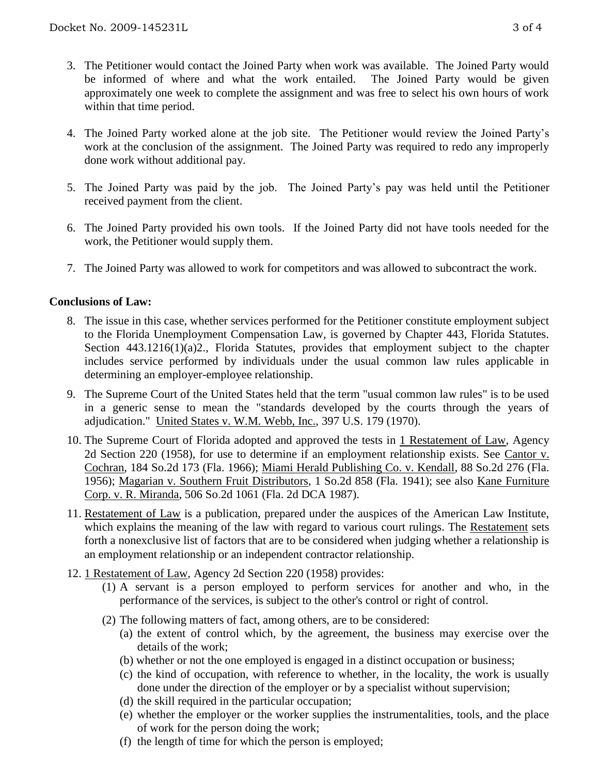- 3. The Petitioner would contact the Joined Party when work was available. The Joined Party would be informed of where and what the work entailed. The Joined Party would be given approximately one week to complete the assignment and was free to select his own hours of work within that time period.
- 4. The Joined Party worked alone at the job site. The Petitioner would review the Joined Party's work at the conclusion of the assignment. The Joined Party was required to redo any improperly done work without additional pay.
- 5. The Joined Party was paid by the job. The Joined Party's pay was held until the Petitioner received payment from the client.
- 6. The Joined Party provided his own tools. If the Joined Party did not have tools needed for the work, the Petitioner would supply them.
- 7. The Joined Party was allowed to work for competitors and was allowed to subcontract the work.

### **Conclusions of Law:**

- 8. The issue in this case, whether services performed for the Petitioner constitute employment subject to the Florida Unemployment Compensation Law, is governed by Chapter 443, Florida Statutes. Section 443.1216(1)(a)2., Florida Statutes, provides that employment subject to the chapter includes service performed by individuals under the usual common law rules applicable in determining an employer-employee relationship.
- 9. The Supreme Court of the United States held that the term "usual common law rules" is to be used in a generic sense to mean the "standards developed by the courts through the years of adjudication." United States v. W.M. Webb, Inc., 397 U.S. 179 (1970).
- 10. The Supreme Court of Florida adopted and approved the tests in 1 Restatement of Law, Agency 2d Section 220 (1958), for use to determine if an employment relationship exists. See Cantor v. Cochran, 184 So.2d 173 (Fla. 1966); Miami Herald Publishing Co. v. Kendall, 88 So.2d 276 (Fla. 1956); Magarian v. Southern Fruit Distributors, 1 So.2d 858 (Fla. 1941); see also Kane Furniture Corp. v. R. Miranda, 506 So.2d 1061 (Fla. 2d DCA 1987).
- 11. Restatement of Law is a publication, prepared under the auspices of the American Law Institute, which explains the meaning of the law with regard to various court rulings. The Restatement sets forth a nonexclusive list of factors that are to be considered when judging whether a relationship is an employment relationship or an independent contractor relationship.
- 12. 1 Restatement of Law, Agency 2d Section 220 (1958) provides:
	- (1) A servant is a person employed to perform services for another and who, in the performance of the services, is subject to the other's control or right of control.
	- (2) The following matters of fact, among others, are to be considered:
		- (a) the extent of control which, by the agreement, the business may exercise over the details of the work;
		- (b) whether or not the one employed is engaged in a distinct occupation or business;
		- (c) the kind of occupation, with reference to whether, in the locality, the work is usually done under the direction of the employer or by a specialist without supervision;
		- (d) the skill required in the particular occupation;
		- (e) whether the employer or the worker supplies the instrumentalities, tools, and the place of work for the person doing the work;
		- (f) the length of time for which the person is employed;